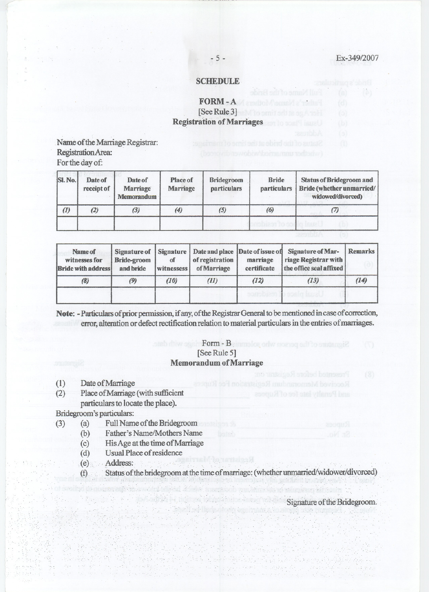### **SCHEDULE**

# FORM~A [See Rule 3] Registration of Marriages

.Name of the Marriage Registrar: Registration Area: For the day of:

| SI. No. | Date of<br>receipt of | Date of<br><b>Marriage</b><br><b>Memorandum</b> | Place of<br><b>Marriage</b> | <b>Bridegroom</b><br>particulars | <b>Bride</b><br>particulars | <b>Status of Bridegroom and</b><br>Bride (whether unmarried/<br>widowed/divorced) |  |  |
|---------|-----------------------|-------------------------------------------------|-----------------------------|----------------------------------|-----------------------------|-----------------------------------------------------------------------------------|--|--|
| (1)     | (2)                   | (3)                                             | (4)                         | (5)                              | (6)                         |                                                                                   |  |  |
|         |                       |                                                 |                             |                                  |                             |                                                                                   |  |  |

| Name of<br>witnesses for<br><b>Bride with address</b> | <b>Bride-groom</b><br>and bride | of<br>witnessess | of registration<br>of Marriage | marriage<br>certificate | Signature of Signature   Date and place   Date of issue of Signature of Mar-<br>riage Registrar with<br>the office seal affixed | <b>Remarks</b> |  |
|-------------------------------------------------------|---------------------------------|------------------|--------------------------------|-------------------------|---------------------------------------------------------------------------------------------------------------------------------|----------------|--|
| (8)                                                   | (9)                             | (10)             | (II)                           | (12)                    | (13)                                                                                                                            | (14)           |  |
|                                                       |                                 |                  |                                |                         |                                                                                                                                 |                |  |

Note: -Particulars of prior permission, if any, of the Registrar General to be mentioned in case of correction, error, alteration or defect rectification relation to material particulars in the entries of marriages.

## Form - Beinnelog only means all to studengi? [See Rule 5] Memorandum of Marriage

- 
- (1) Date of Marriage<br>(2) Place of Marriage Place of Marriage (with sufficient particulars to locate the place).

Bridegroom's particulars:

- (3) (a) Full Name of the Bridegroom
	- (b) Father's Name/Mothers Name
	- (c) His Age at the time of Marriage
	- (d) Usual Place of residence
	- (e), . Address: '.' ". '. '.. '.. ' '..
	- (f) Status of the bridegroom at the time of marriage: (whether unifiartied/widower/divorced)

Signature of the Bridegroom.